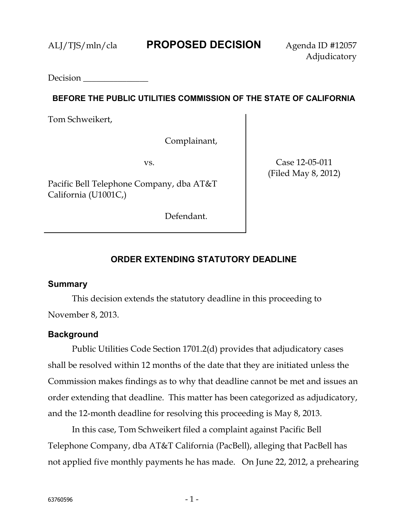Decision

### **BEFORE THE PUBLIC UTILITIES COMMISSION OF THE STATE OF CALIFORNIA**

Tom Schweikert,

Complainant,

vs.

Pacific Bell Telephone Company, dba AT&T California (U1001C,)

Case 12-05-011 (Filed May 8, 2012)

Defendant.

# **ORDER EXTENDING STATUTORY DEADLINE**

### **Summary**

This decision extends the statutory deadline in this proceeding to November 8, 2013.

## **Background**

Public Utilities Code Section 1701.2(d) provides that adjudicatory cases shall be resolved within 12 months of the date that they are initiated unless the Commission makes findings as to why that deadline cannot be met and issues an order extending that deadline. This matter has been categorized as adjudicatory, and the 12-month deadline for resolving this proceeding is May 8, 2013.

In this case, Tom Schweikert filed a complaint against Pacific Bell Telephone Company, dba AT&T California (PacBell), alleging that PacBell has not applied five monthly payments he has made. On June 22, 2012, a prehearing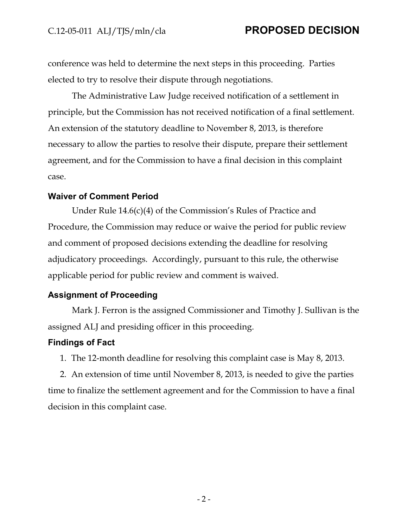# C.12-05-011 ALJ/TJS/mln/cla **PROPOSED DECISION**

conference was held to determine the next steps in this proceeding. Parties elected to try to resolve their dispute through negotiations.

The Administrative Law Judge received notification of a settlement in principle, but the Commission has not received notification of a final settlement. An extension of the statutory deadline to November 8, 2013, is therefore necessary to allow the parties to resolve their dispute, prepare their settlement agreement, and for the Commission to have a final decision in this complaint case.

### **Waiver of Comment Period**

Under Rule 14.6(c)(4) of the Commission's Rules of Practice and Procedure, the Commission may reduce or waive the period for public review and comment of proposed decisions extending the deadline for resolving adjudicatory proceedings. Accordingly, pursuant to this rule, the otherwise applicable period for public review and comment is waived.

### **Assignment of Proceeding**

Mark J. Ferron is the assigned Commissioner and Timothy J. Sullivan is the assigned ALJ and presiding officer in this proceeding.

### **Findings of Fact**

1. The 12-month deadline for resolving this complaint case is May 8, 2013.

2. An extension of time until November 8, 2013, is needed to give the parties time to finalize the settlement agreement and for the Commission to have a final decision in this complaint case.